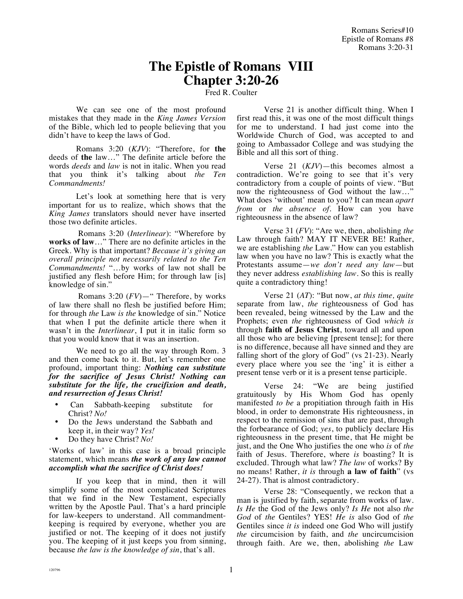## **The Epistle of Romans VIII Chapter 3:20-26**

Fred R. Coulter

We can see one of the most profound mistakes that they made in the *King James Version* of the Bible, which led to people believing that you didn't have to keep the laws of God.

Romans 3:20 (*KJV*): "Therefore, for **the** deeds of **the** law…" The definite article before the words *deeds* and *law* is not in italic. When you read that you think it's talking about *the Ten Commandments!*

Let's look at something here that is very important for us to realize, which shows that the *King James* translators should never have inserted those two definite articles.

 Romans 3:20 (*Interlinear*): "Wherefore by **works of law**…" There are no definite articles in the Greek. Why is that important? *Because it's giving an overall principle not necessarily related to the Ten Commandments!* "…by works of law not shall be justified any flesh before Him; for through law [is] knowledge of sin."

 Romans 3:20 (*FV*)—" Therefore, by works of law there shall no flesh be justified before Him; for through *the* Law *is the* knowledge of sin." Notice that when I put the definite article there when it wasn't in the *Interlinear*, I put it in italic form so that you would know that it was an insertion.

We need to go all the way through Rom. 3 and then come back to it. But, let's remember one profound, important thing: *Nothing can substitute for the sacrifice of Jesus Christ! Nothing can substitute for the life, the crucifixion and death, and resurrection of Jesus Christ!*

- Can Sabbath-keeping substitute for Christ? *No!*
- Do the Jews understand the Sabbath and keep it, in their way? *Yes!*
- Do they have Christ? *No!*

'Works of law' in this case is a broad principle statement, which means *the work of any law cannot accomplish what the sacrifice of Christ does!*

If you keep that in mind, then it will simplify some of the most complicated Scriptures that we find in the New Testament, especially written by the Apostle Paul. That's a hard principle for law-keepers to understand. All commandmentkeeping is required by everyone, whether you are justified or not. The keeping of it does not justify you. The keeping of it just keeps you from sinning, because *the law is the knowledge of sin*, that's all.

Verse 21 is another difficult thing. When I first read this, it was one of the most difficult things for me to understand. I had just come into the Worldwide Church of God, was accepted to and going to Ambassador College and was studying the Bible and all this sort of thing.

Verse 21 (*KJV*)—this becomes almost a contradiction. We're going to see that it's very contradictory from a couple of points of view. "But now the righteousness of God without the law...' What does 'without' mean to you? It can mean *apart from* or *the absence of.* How can you have righteousness in the absence of law?

Verse 31 (*FV*): "Are we, then, abolishing *the* Law through faith? MAY IT NEVER BE! Rather, we are establishing *the* Law." How can you establish law when you have no law? This is exactly what the Protestants assume—*we don't need any law*—but they never address *establishing law*. So this is really quite a contradictory thing!

Verse 21 (*AT*): "But now, *at this time, quite*  separate from law, *the* righteousness of God has been revealed, being witnessed by the Law and the Prophets; even *the* righteousness of God *which is* through **faith of Jesus Christ**, toward all and upon all those who are believing [present tense]; for there is no difference, because all have sinned and they are falling short of the glory of God" (vs 21-23). Nearly every place where you see the 'ing' it is either a present tense verb or it is a present tense participle.

Verse 24: "We are being justified gratuitously by His Whom God has openly manifested *to be* a propitiation through faith in His blood, in order to demonstrate His righteousness, in respect to the remission of sins that are past, through the forbearance of God; *yes*, to publicly declare His righteousness in the present time, that He might be just, and the One Who justifies the one who *is* of *the* faith of Jesus. Therefore, where *is* boasting? It is excluded. Through what law? *The law* of works? By no means! Rather, *it is* through **a law of faith**" (vs 24-27). That is almost contradictory.

Verse 28: "Consequently, we reckon that a man is justified by faith, separate from works of law. *Is He* the God of the Jews only? *Is He* not also *the God* of *the* Gentiles? YES! *He is* also God of *the* Gentiles since *it is* indeed one God Who will justify *the* circumcision by faith, and *the* uncircumcision through faith. Are we, then, abolishing *the* Law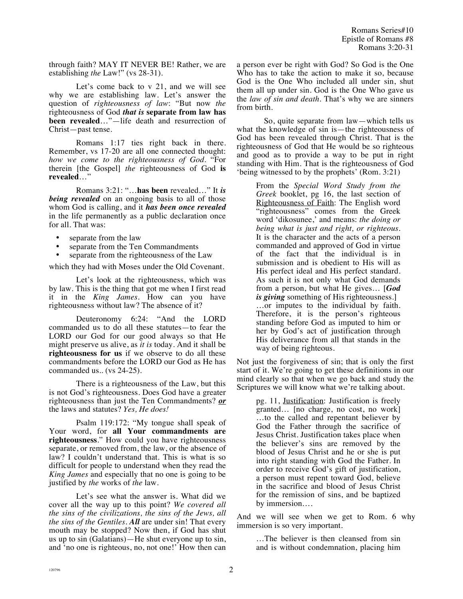Romans Series#10 Epistle of Romans #8 Romans 3:20-31

through faith? MAY IT NEVER BE! Rather, we are establishing *the* Law!" (vs 28-31).

Let's come back to v 21, and we will see why we are establishing law. Let's answer the question of *righteousness of law*: "But now *the* righteousness of God *that is* **separate from law has been revealed**…"—life death and resurrection of Christ—past tense.

Romans 1:17 ties right back in there. Remember, vs 17-20 are all one connected thought: *how we come to the righteousness of God.* "For therein [the Gospel] *the* righteousness of God **is revealed**…"

Romans 3:21: "…**has been** revealed…" It *is being revealed* on an ongoing basis to all of those whom God is calling, and it *has been once revealed* in the life permanently as a public declaration once for all. That was:

- separate from the law
- separate from the Ten Commandments
- separate from the righteousness of the Law

which they had with Moses under the Old Covenant.

Let's look at the righteousness, which was by law. This is the thing that got me when I first read it in the *King James.* How can you have righteousness without law? The absence of it?

Deuteronomy 6:24: "And the LORD commanded us to do all these statutes—to fear the LORD our God for our good always so that He might preserve us alive, as *it is* today. And it shall be **righteousness for us** if we observe to do all these commandments before the LORD our God as He has commanded us.. (vs 24-25).

There is a righteousness of the Law, but this is not God's righteousness. Does God have a greater righteousness than just the Ten Commandments? *or* the laws and statutes? *Yes, He does!*

Psalm 119:172: "My tongue shall speak of Your word, for **all Your commandments are righteousness**." How could you have righteousness separate, or removed from, the law, or the absence of law? I couldn't understand that. This is what is so difficult for people to understand when they read the *King James* and especially that no one is going to be justified by *the* works of *the* law.

Let's see what the answer is. What did we cover all the way up to this point? *We covered all the sins of the civilizations, the sins of the Jews, all the sins of the Gentiles. All* are under sin! That every mouth may be stopped? Now then, if God has shut us up to sin (Galatians)—He shut everyone up to sin, and 'no one is righteous, no, not one!' How then can

a person ever be right with God? So God is the One Who has to take the action to make it so, because God is the One Who included all under sin, shut them all up under sin. God is the One Who gave us the *law of sin and death.* That's why we are sinners from birth.

So, quite separate from law—which tells us what the knowledge of sin is—the righteousness of God has been revealed through Christ. That is the righteousness of God that He would be so righteous and good as to provide a way to be put in right standing with Him. That is the righteousness of God 'being witnessed to by the prophets' (Rom. 3:21)

> From the *Special Word Study from the Greek* booklet, pg 16, the last section of Righteousness of Faith: The English word "righteousness" comes from the Greek word 'dikosunee,' and means: *the doing or being what is just and right, or righteous*. It is the character and the acts of a person commanded and approved of God in virtue of the fact that the individual is in submission and is obedient to His will as His perfect ideal and His perfect standard. As such it is not only what God demands from a person, but what He gives… [*God is giving* something of His righteousness.] …or imputes to the individual by faith. Therefore, it is the person's righteous standing before God as imputed to him or her by God's act of justification through His deliverance from all that stands in the way of being righteous.

Not just the forgiveness of sin; that is only the first start of it. We're going to get these definitions in our mind clearly so that when we go back and study the Scriptures we will know what we're talking about.

> pg. 11, Justification: Justification is freely granted… [no charge, no cost, no work] …to the called and repentant believer by God the Father through the sacrifice of Jesus Christ. Justification takes place when the believer's sins are removed by the blood of Jesus Christ and he or she is put into right standing with God the Father. In order to receive God's gift of justification, a person must repent toward God, believe in the sacrifice and blood of Jesus Christ for the remission of sins, and be baptized by immersion….

And we will see when we get to Rom. 6 why immersion is so very important.

> …The believer is then cleansed from sin and is without condemnation, placing him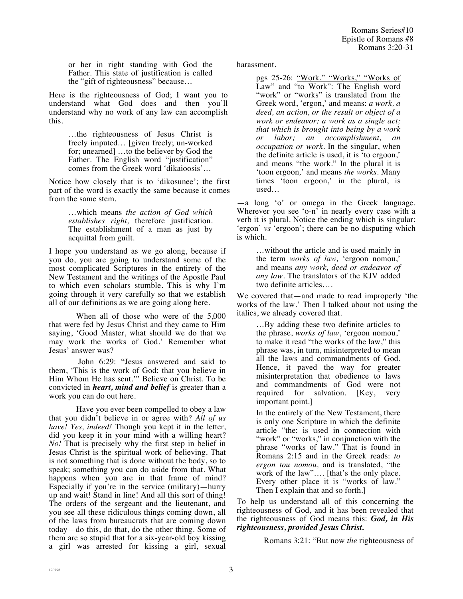or her in right standing with God the Father. This state of justification is called the "gift of righteousness" because…

Here is the righteousness of God; I want you to understand what God does and then you'll understand why no work of any law can accomplish this.

> …the righteousness of Jesus Christ is freely imputed… [given freely; un-worked for; unearned] …to the believer by God the Father. The English word "justification" comes from the Greek word 'dikaioosis'*…*

Notice how closely that is to 'dikosunee'; the first part of the word is exactly the same because it comes from the same stem.

> …which means *the action of God which establishes right,* therefore justification. The establishment of a man as just by acquittal from guilt.

I hope you understand as we go along, because if you do, you are going to understand some of the most complicated Scriptures in the entirety of the New Testament and the writings of the Apostle Paul to which even scholars stumble. This is why I'm going through it very carefully so that we establish all of our definitions as we are going along here.

When all of those who were of the 5,000 that were fed by Jesus Christ and they came to Him saying, 'Good Master, what should we do that we may work the works of God.' Remember what Jesus' answer was?

 John 6:29: "Jesus answered and said to them, 'This is the work of God: that you believe in Him Whom He has sent.'" Believe on Christ. To be convicted in *heart, mind and belief* is greater than a work you can do out here.

Have you ever been compelled to obey a law that you didn't believe in or agree with? *All of us have! Yes, indeed!* Though you kept it in the letter, did you keep it in your mind with a willing heart? *No!* That is precisely why the first step in belief in Jesus Christ is the spiritual work of believing. That is not something that is done without the body, so to speak; something you can do aside from that. What happens when you are in that frame of mind? Especially if you're in the service (military)—hurry up and wait! Stand in line! And all this sort of thing! The orders of the sergeant and the lieutenant, and you see all these ridiculous things coming down, all of the laws from bureaucrats that are coming down today—do this, do that, do the other thing. Some of them are so stupid that for a six-year-old boy kissing a girl was arrested for kissing a girl, sexual harassment.

pgs 25-26: "Work," "Works," "Works of Law" and "to Work": The English word "work" or "works" is translated from the Greek word, 'ergon,' and means: *a work, a deed, an action, or the result or object of a work or endeavor; a work as a single act; that which is brought into being by a work or labor; an accomplishment, an occupation or work.* In the singular, when the definite article is used, it is 'to ergoon,' and means "the work." In the plural it is 'toon ergoon*,*' and means *the works*. Many times 'toon ergoon,' in the plural, is used…

—a long 'o' or omega in the Greek language. Wherever you see 'o-n' in nearly every case with a verb it is plural. Notice the ending which is singular: 'ergon' *vs* 'ergoon'; there can be no disputing which is which.

> …without the article and is used mainly in the term *works of law,* 'ergoon nomou,' and means *any work, deed or endeavor of any law.* The translators of the KJV added two definite articles….

We covered that—and made to read improperly 'the works of the law.' Then I talked about not using the italics, we already covered that.

> …By adding these two definite articles to the phrase, *works of law*, 'ergoon nomou,' to make it read "the works of the law," this phrase was, in turn, misinterpreted to mean all the laws and commandments of God. Hence, it paved the way for greater misinterpretation that obedience to laws and commandments of God were not required for salvation. [Key, very important point.]

> In the entirely of the New Testament, there is only one Scripture in which the definite article "the: is used in connection with "work" or "works," in conjunction with the phrase "works of law." That is found in Romans 2:15 and in the Greek reads: *to ergon tou nomou,* and is translated, "the work of the law"…. [that's the only place. Every other place it is "works of law." Then I explain that and so forth.]

To help us understand all of this concerning the righteousness of God, and it has been revealed that the righteousness of God means this: *God, in His righteousness, provided Jesus Christ.*

Romans 3:21: "But now *the* righteousness of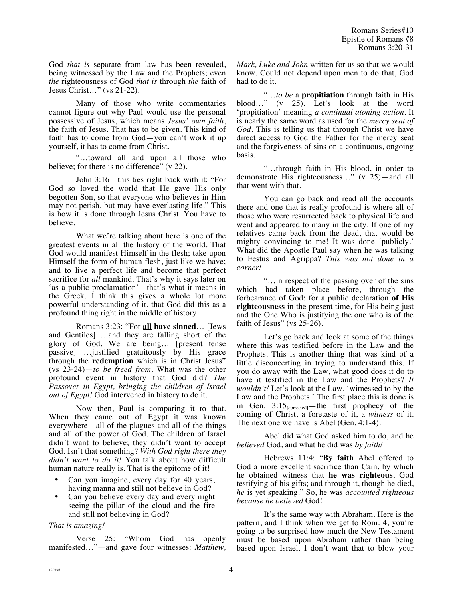God *that is* separate from law has been revealed, being witnessed by the Law and the Prophets; even *the* righteousness of God *that is* through *the* faith of Jesus Christ…" (vs 21-22).

Many of those who write commentaries cannot figure out why Paul would use the personal possessive of Jesus, which means *Jesus' own faith*, the faith of Jesus. That has to be given. This kind of faith has to come from God—you can't work it up yourself, it has to come from Christ.

"…toward all and upon all those who believe; for there is no difference" (v 22).

John 3:16—this ties right back with it: "For God so loved the world that He gave His only begotten Son, so that everyone who believes in Him may not perish, but may have everlasting life." This is how it is done through Jesus Christ. You have to believe.

What we're talking about here is one of the greatest events in all the history of the world. That God would manifest Himself in the flesh; take upon Himself the form of human flesh, just like we have; and to live a perfect life and become that perfect sacrifice for *all* mankind. That's why it says later on 'as a public proclamation'—that's what it means in the Greek. I think this gives a whole lot more powerful understanding of it, that God did this as a profound thing right in the middle of history.

Romans 3:23: "For **all have sinned**… [Jews and Gentiles] …and they are falling short of the glory of God. We are being… [present tense passive] …justified gratuitously by His grace through the **redemption** which is in Christ Jesus" (vs 23-24)—*to be freed from*. What was the other profound event in history that God did? *The Passover in Egypt, bringing the children of Israel out of Egypt!* God intervened in history to do it.

Now then, Paul is comparing it to that. When they came out of Egypt it was known everywhere—all of the plagues and all of the things and all of the power of God. The children of Israel didn't want to believe; they didn't want to accept God. Isn't that something? *With God right there they didn't want to do it!* You talk about how difficult human nature really is. That is the epitome of it!

- Can you imagine, every day for 40 years, having manna and still not believe in God?
- Can you believe every day and every night seeing the pillar of the cloud and the fire and still not believing in God?

## *That is amazing!*

Verse 25: "Whom God has openly manifested…"—and gave four witnesses: *Matthew,*  *Mark, Luke and John* written for us so that we would know. Could not depend upon men to do that, God had to do it.

"…*to be* a **propitiation** through faith in His blood…" (v 25). Let's look at the word 'propitiation' meaning *a continual atoning action.* It is nearly the same word as used for the *mercy seat of God*. This is telling us that through Christ we have direct access to God the Father for the mercy seat and the forgiveness of sins on a continuous, ongoing basis.

"…through faith in His blood, in order to demonstrate His righteousness…" (v 25)—and all that went with that.

You can go back and read all the accounts there and one that is really profound is where all of those who were resurrected back to physical life and went and appeared to many in the city. If one of my relatives came back from the dead, that would be mighty convincing to me! It was done 'publicly.' What did the Apostle Paul say when he was talking to Festus and Agrippa? *This was not done in a corner!* 

"…in respect of the passing over of the sins which had taken place before, through the forbearance of God; for a public declaration **of His righteousness** in the present time, for His being just and the One Who is justifying the one who is of the faith of Jesus" (vs 25-26).

Let's go back and look at some of the things where this was testified before in the Law and the Prophets. This is another thing that was kind of a little disconcerting in trying to understand this. If you do away with the Law, what good does it do to have it testified in the Law and the Prophets? *It wouldn't!* Let's look at the Law, 'witnessed to by the Law and the Prophets.' The first place this is done is in Gen.  $3:15$ <sub>[corrected]</sub>—the first prophecy of the coming of Christ, a foretaste of it, a *witness* of it. The next one we have is Abel (Gen. 4:1-4).

Abel did what God asked him to do, and he *believed* God, and what he did was *by faith!*

Hebrews 11:4: "**By faith** Abel offered to God a more excellent sacrifice than Cain, by which he obtained witness that **he was righteous**, God testifying of his gifts; and through it, though he died, *he* is yet speaking." So, he was *accounted righteous because he believed* God!

It's the same way with Abraham. Here is the pattern, and I think when we get to Rom. 4, you're going to be surprised how much the New Testament must be based upon Abraham rather than being based upon Israel. I don't want that to blow your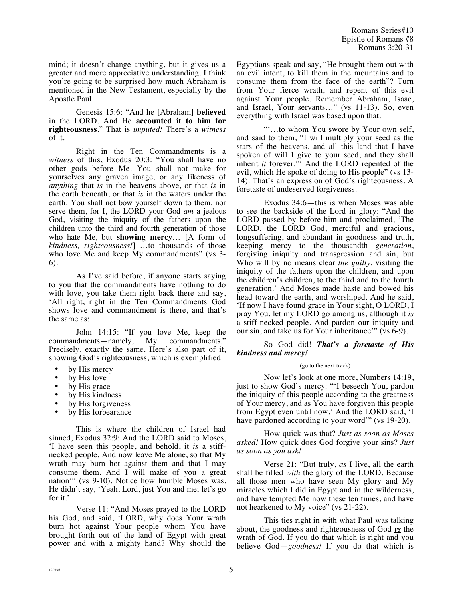mind; it doesn't change anything, but it gives us a greater and more appreciative understanding. I think you're going to be surprised how much Abraham is mentioned in the New Testament, especially by the Apostle Paul.

Genesis 15:6: "And he [Abraham] **believed** in the LORD. And He **accounted it to him for righteousness**." That is *imputed!* There's a *witness* of it.

Right in the Ten Commandments is a *witness* of this, Exodus 20:3: "You shall have no other gods before Me. You shall not make for yourselves any graven image, or any likeness of *anything* that *is* in the heavens above, or that *is* in the earth beneath, or that *is* in the waters under the earth. You shall not bow yourself down to them, nor serve them, for I, the LORD your God *am* a jealous God, visiting the iniquity of the fathers upon the children unto the third and fourth generation of those who hate Me, but **showing mercy**… [A form of *kindness, righteousness!*] …to thousands of those who love Me and keep My commandments" (vs 3-6).

As I've said before, if anyone starts saying to you that the commandments have nothing to do with love, you take them right back there and say, 'All right, right in the Ten Commandments God shows love and commandment is there, and that's the same as:

John 14:15: "If you love Me, keep the ndments—namely, My commandments."  $commandments—namely, My$ Precisely, exactly the same. Here's also part of it, showing God's righteousness, which is exemplified

- by His mercy
- by His love
- by His grace
- by His kindness
- by His forgiveness
- by His forbearance

This is where the children of Israel had sinned, Exodus 32:9: And the LORD said to Moses, 'I have seen this people, and behold, it *is* a stiffnecked people. And now leave Me alone, so that My wrath may burn hot against them and that I may consume them. And I will make of you a great nation'" (vs 9-10). Notice how humble Moses was. He didn't say, 'Yeah, Lord, just You and me; let's go for it.'

Verse 11: "And Moses prayed to the LORD his God, and said, 'LORD, why does Your wrath burn hot against Your people whom You have brought forth out of the land of Egypt with great power and with a mighty hand? Why should the Egyptians speak and say, "He brought them out with an evil intent, to kill them in the mountains and to consume them from the face of the earth"? Turn from Your fierce wrath, and repent of this evil against Your people. Remember Abraham, Isaac, and Israel, Your servants..." (vs 11-13). So, even everything with Israel was based upon that.

"'…to whom You swore by Your own self, and said to them, "I will multiply your seed as the stars of the heavens, and all this land that I have spoken of will I give to your seed, and they shall inherit *it* forever." And the LORD repented of the evil, which He spoke of doing to His people" (vs 13- 14). That's an expression of God's righteousness. A foretaste of undeserved forgiveness.

Exodus 34:6—this is when Moses was able to see the backside of the Lord in glory: "And the LORD passed by before him and proclaimed, 'The LORD, the LORD God, merciful and gracious, longsuffering, and abundant in goodness and truth, keeping mercy to the thousandth *generation*, forgiving iniquity and transgression and sin, but Who will by no means clear *the guilty*, visiting the iniquity of the fathers upon the children, and upon the children's children, to the third and to the fourth generation.' And Moses made haste and bowed his head toward the earth, and worshiped. And he said, 'If now I have found grace in Your sight, O LORD, I pray You, let my LORD go among us, although it *is* a stiff-necked people. And pardon our iniquity and our sin, and take us for Your inheritance'" (vs 6-9).

## So God did! *That's a foretaste of His kindness and mercy!*

## (go to the next track)

Now let's look at one more, Numbers 14:19, just to show God's mercy: "'I beseech You, pardon the iniquity of this people according to the greatness of Your mercy, and as You have forgiven this people from Egypt even until now.' And the LORD said, 'I have pardoned according to your word'" (vs 19-20).

How quick was that? *Just as soon as Moses asked!* How quick does God forgive your sins? *Just as soon as you ask!*

Verse 21: "But truly, *as* I live, all the earth shall be filled *with* the glory of the LORD. Because all those men who have seen My glory and My miracles which I did in Egypt and in the wilderness, and have tempted Me now these ten times, and have not hearkened to My voice" (vs 21-22).

This ties right in with what Paul was talking about, the goodness and righteousness of God *vs* the wrath of God. If you do that which is right and you believe God—*goodness!* If you do that which is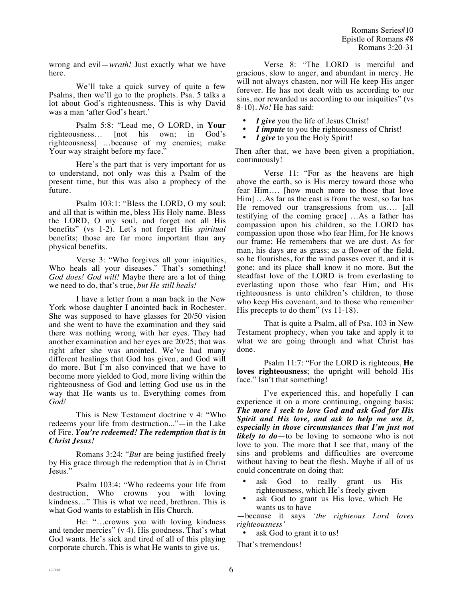wrong and evil—*wrath!* Just exactly what we have here.

We'll take a quick survey of quite a few Psalms, then we'll go to the prophets. Psa. 5 talks a lot about God's righteousness. This is why David was a man 'after God's heart.'

Psalm 5:8: "Lead me, O LORD, in **Your** righteousness… [not his own; in God's righteousness] …because of my enemies; make Your way straight before my face."

Here's the part that is very important for us to understand, not only was this a Psalm of the present time, but this was also a prophecy of the future.

Psalm 103:1: "Bless the LORD, O my soul; and all that is within me, bless His Holy name. Bless the LORD, O my soul, and forget not all His benefits" (vs 1-2). Let's not forget His *spiritual* benefits; those are far more important than any physical benefits.

Verse 3: "Who forgives all your iniquities, Who heals all your diseases." That's something! *God does! God will!* Maybe there are a lot of thing we need to do, that's true, *but He still heals!*

I have a letter from a man back in the New York whose daughter I anointed back in Rochester. She was supposed to have glasses for 20/50 vision and she went to have the examination and they said there was nothing wrong with her eyes. They had another examination and her eyes are 20/25; that was right after she was anointed. We've had many different healings that God has given, and God will do more. But I'm also convinced that we have to become more yielded to God, more living within the righteousness of God and letting God use us in the way that He wants us to. Everything comes from *God!*

This is New Testament doctrine v 4: "Who redeems your life from destruction..."—in the Lake of Fire. *You're redeemed! The redemption that is in Christ Jesus!*

Romans 3:24: "*But* are being justified freely by His grace through the redemption that *is* in Christ Jesus."

Psalm 103:4: "Who redeems your life from destruction, Who crowns you with loving kindness…" This is what we need, brethren. This is what God wants to establish in His Church.

He: "…crowns you with loving kindness and tender mercies" (v 4). His goodness. That's what God wants. He's sick and tired of all of this playing corporate church. This is what He wants to give us.

Verse 8: "The LORD is merciful and gracious, slow to anger, and abundant in mercy. He will not always chasten, nor will He keep His anger forever. He has not dealt with us according to our sins, nor rewarded us according to our iniquities" (vs 8-10). *No!* He has said:

- I give you the life of Jesus Christ!
- I *impute* to you the righteousness of Christ!
- I give to you the Holy Spirit!

Then after that, we have been given a propitiation, continuously!

Verse 11: "For as the heavens are high above the earth, so is His mercy toward those who fear Him…. [how much more to those that love Him] …As far as the east is from the west, so far has He removed our transgressions from us…. [all testifying of the coming grace] …As a father has compassion upon his children, so the LORD has compassion upon those who fear Him, for He knows our frame; He remembers that we are dust. As for man, his days are as grass; as a flower of the field, so he flourishes, for the wind passes over it, and it is gone; and its place shall know it no more. But the steadfast love of the LORD is from everlasting to everlasting upon those who fear Him, and His righteousness is unto children's children, to those who keep His covenant, and to those who remember His precepts to do them" (vs 11-18).

That is quite a Psalm, all of Psa. 103 in New Testament prophecy, when you take and apply it to what we are going through and what Christ has done.

Psalm 11:7: "For the LORD is righteous, **He loves righteousness**; the upright will behold His face." Isn't that something!

I've experienced this, and hopefully I can experience it on a more continuing, ongoing basis: *The more I seek to love God and ask God for His Spirit and His love, and ask to help me use it, especially in those circumstances that I'm just not likely to do*—to be loving to someone who is not love to you. The more that I see that, many of the sins and problems and difficulties are overcome without having to beat the flesh. Maybe if all of us could concentrate on doing that:

- ask God to really grant us His righteousness, which He's freely given
- ask God to grant us His love, which He wants us to have

—because it says *'the righteous Lord loves righteousness'* 

ask God to grant it to us!

That's tremendous!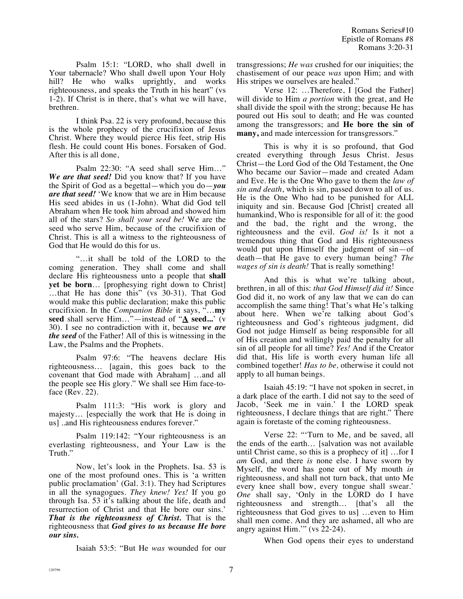Psalm 15:1: "LORD, who shall dwell in Your tabernacle? Who shall dwell upon Your Holy hill? He who walks uprightly, and works righteousness, and speaks the Truth in his heart" (vs 1-2). If Christ is in there, that's what we will have, brethren.

I think Psa. 22 is very profound, because this is the whole prophecy of the crucifixion of Jesus Christ. Where they would pierce His feet, strip His flesh. He could count His bones. Forsaken of God. After this is all done,

Psalm 22:30: "A seed shall serve Him…" *We are that seed!* Did you know that? If you have the Spirit of God as a begettal—which you do—*you are that seed!* 'We know that we are in Him because His seed abides in us (1-John). What did God tell Abraham when He took him abroad and showed him all of the stars? *So shall your seed be!* We are the seed who serve Him, because of the crucifixion of Christ. This is all a witness to the righteousness of God that He would do this for us.

"…it shall be told of the LORD to the coming generation. They shall come and shall declare His righteousness unto a people that **shall yet be born**… [prophesying right down to Christ] …that He has done this" (vs 30-31). That God would make this public declaration; make this public crucifixion. In the *Companion Bible* it says, "…**my seed** shall serve Him…"—instead of "**A seed...**' (v 30). I see no contradiction with it, because *we are the seed* of the Father! All of this is witnessing in the Law, the Psalms and the Prophets.

Psalm 97:6: "The heavens declare His righteousness… [again, this goes back to the covenant that God made with Abraham] …and all the people see His glory." We shall see Him face-toface (Rev. 22).

Psalm 111:3: "His work is glory and majesty… [especially the work that He is doing in us] ..and His righteousness endures forever."

Psalm 119:142: "Your righteousness is an everlasting righteousness, and Your Law is the Truth."

Now, let's look in the Prophets. Isa. 53 is one of the most profound ones. This is 'a written public proclamation' (Gal. 3:1). They had Scriptures in all the synagogues. *They knew! Yes!* If you go through Isa. 53 it's talking about the life, death and resurrection of Christ and that He bore our sins.' *That is the righteousness of Christ.* That is the righteousness that *God gives to us because He bore our sins.* 

Isaiah 53:5: "But He *was* wounded for our

transgressions; *He was* crushed for our iniquities; the chastisement of our peace *was* upon Him; and with His stripes we ourselves are healed."

Verse 12: …Therefore, I [God the Father] will divide to Him *a portion* with the great, and He shall divide the spoil with the strong; because He has poured out His soul to death; and He was counted among the transgressors; and **He bore the sin of many,** and made intercession for transgressors."

This is why it is so profound, that God created everything through Jesus Christ. Jesus Christ—the Lord God of the Old Testament, the One Who became our Savior—made and created Adam and Eve. He is the One Who gave to them the *law of sin and death*, which is sin, passed down to all of us. He is the One Who had to be punished for ALL iniquity and sin. Because God [Christ] created all humankind, Who is responsible for all of it: the good and the bad, the right and the wrong, the righteousness and the evil. *God is!* Is it not a tremendous thing that God and His righteousness would put upon Himself the judgment of sin—of death—that He gave to every human being? *The wages of sin is death!* That is really something!

And this is what we're talking about, brethren, in all of this: *that God Himself did it!* Since God did it, no work of any law that we can do can accomplish the same thing! That's what He's talking about here. When we're talking about God's righteousness and God's righteous judgment, did God not judge Himself as being responsible for all of His creation and willingly paid the penalty for all sin of all people for all time? *Yes!* And if the Creator did that, His life is worth every human life all combined together! *Has to be,* otherwise it could not apply to all human beings.

Isaiah 45:19: "I have not spoken in secret, in a dark place of the earth. I did not say to the seed of Jacob, 'Seek me in vain.' I the LORD speak righteousness, I declare things that are right." There again is foretaste of the coming righteousness.

Verse 22: "'Turn to Me, and be saved, all the ends of the earth… [salvation was not available until Christ came, so this is a prophecy of it] …for I *am* God, and there *is* none else. I have sworn by Myself, the word has gone out of My mouth *in* righteousness, and shall not turn back, that unto Me every knee shall bow, every tongue shall swear.' *One* shall say, 'Only in the LORD do I have righteousness and strength… [that's all the righteousness that God gives to us] …even to Him shall men come. And they are ashamed, all who are angry against Him.'" (vs 22-24).

When God opens their eyes to understand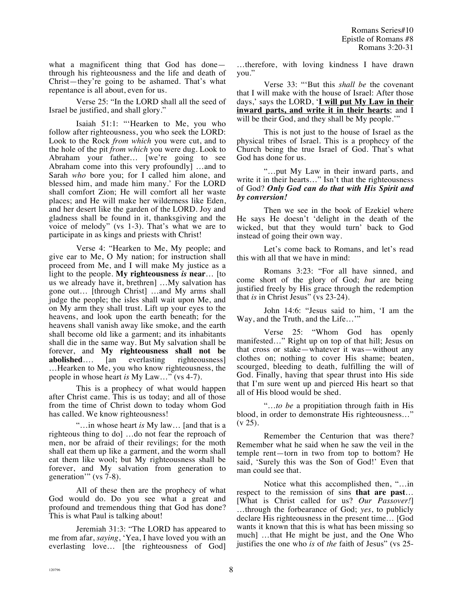what a magnificent thing that God has done through his righteousness and the life and death of Christ—they're going to be ashamed. That's what repentance is all about, even for us.

Verse 25: "In the LORD shall all the seed of Israel be justified, and shall glory."

Isaiah 51:1: "'Hearken to Me, you who follow after righteousness, you who seek the LORD: Look to the Rock *from which* you were cut, and to the hole of the pit *from which* you were dug. Look to Abraham your father… [we're going to see Abraham come into this very profoundly] …and to Sarah *who* bore you; for I called him alone, and blessed him, and made him many.' For the LORD shall comfort Zion; He will comfort all her waste places; and He will make her wilderness like Eden, and her desert like the garden of the LORD. Joy and gladness shall be found in it, thanksgiving and the voice of melody" (vs 1-3). That's what we are to participate in as kings and priests with Christ!

Verse 4: "Hearken to Me, My people; and give ear to Me, O My nation; for instruction shall proceed from Me, and I will make My justice as a light to the people. **My righteousness** *is* **near**… [to us we already have it, brethren] …My salvation has gone out… [through Christ] …and My arms shall judge the people; the isles shall wait upon Me, and on My arm they shall trust. Lift up your eyes to the heavens, and look upon the earth beneath; for the heavens shall vanish away like smoke, and the earth shall become old like a garment; and its inhabitants shall die in the same way. But My salvation shall be forever, and **My righteousness shall not be abolished**…. [an everlasting righteousness] …Hearken to Me, you who know righteousness, the people in whose heart *is* My Law…" (vs 4-7).

This is a prophecy of what would happen after Christ came. This is us today; and all of those from the time of Christ down to today whom God has called. We know righteousness!

"…in whose heart *is* My law… [and that is a righteous thing to do] …do not fear the reproach of men, nor be afraid of their revilings; for the moth shall eat them up like a garment, and the worm shall eat them like wool; but My righteousness shall be forever, and My salvation from generation to generation'" (vs 7-8).

All of these then are the prophecy of what God would do. Do you see what a great and profound and tremendous thing that God has done? This is what Paul is talking about!

Jeremiah 31:3: "The LORD has appeared to me from afar, *saying*, 'Yea, I have loved you with an everlasting love… [the righteousness of God] …therefore, with loving kindness I have drawn you."

Verse 33: "'But this *shall be* the covenant that I will make with the house of Israel: After those days,' says the LORD, '**I will put My Law in their inward parts, and write it in their hearts**; and I will be their God, and they shall be My people."

This is not just to the house of Israel as the physical tribes of Israel. This is a prophecy of the Church being the true Israel of God. That's what God has done for us.

"…put My Law in their inward parts, and write it in their hearts…" Isn't that the righteousness of God? *Only God can do that with His Spirit and by conversion!*

Then we see in the book of Ezekiel where He says He doesn't 'delight in the death of the wicked, but that they would turn' back to God instead of going their own way.

Let's come back to Romans, and let's read this with all that we have in mind:

Romans 3:23: "For all have sinned, and come short of the glory of God; *but* are being justified freely by His grace through the redemption that *is* in Christ Jesus" (vs 23-24).

John 14:6: "Jesus said to him, 'I am the Way, and the Truth, and the Life...'"

Verse 25: "Whom God has openly manifested…" Right up on top of that hill; Jesus on that cross or stake—whatever it was—without any clothes on; nothing to cover His shame; beaten, scourged, bleeding to death, fulfilling the will of God. Finally, having that spear thrust into His side that I'm sure went up and pierced His heart so that all of His blood would be shed.

"…*to be* a propitiation through faith in His blood, in order to demonstrate His righteousness…"  $(v 25)$ .

Remember the Centurion that was there? Remember what he said when he saw the veil in the temple rent—torn in two from top to bottom? He said, 'Surely this was the Son of God!' Even that man could see that.

Notice what this accomplished then, "…in respect to the remission of sins **that are past**… [What is Christ called for us? *Our Passover!*] …through the forbearance of God; *yes*, to publicly declare His righteousness in the present time… [God wants it known that this is what has been missing so much] …that He might be just, and the One Who justifies the one who *is* of *the* faith of Jesus" (vs 25-